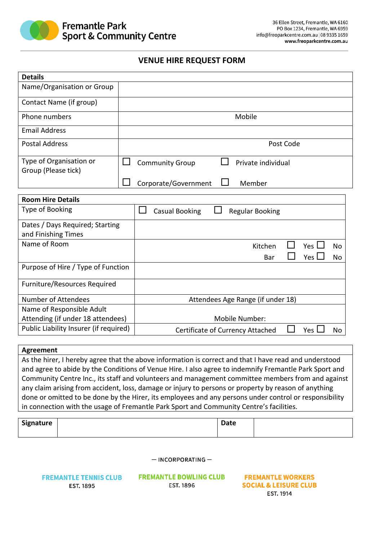

## **VENUE HIRE REQUEST FORM**

| <b>Details</b>                                 |                                                         |  |  |  |
|------------------------------------------------|---------------------------------------------------------|--|--|--|
| Name/Organisation or Group                     |                                                         |  |  |  |
| Contact Name (if group)                        |                                                         |  |  |  |
| Phone numbers                                  | Mobile                                                  |  |  |  |
| <b>Email Address</b>                           |                                                         |  |  |  |
| <b>Postal Address</b>                          | Post Code                                               |  |  |  |
| Type of Organisation or<br>Group (Please tick) | <b>Community Group</b><br>Private individual            |  |  |  |
|                                                | Corporate/Government<br>Member                          |  |  |  |
| <b>Room Hire Details</b>                       |                                                         |  |  |  |
| Type of Booking                                | <b>Casual Booking</b><br><b>Regular Booking</b>         |  |  |  |
| Dates / Days Required; Starting                |                                                         |  |  |  |
| and Finishing Times                            |                                                         |  |  |  |
| Name of Room                                   | Yes I<br>Kitchen<br>No                                  |  |  |  |
|                                                | Yes L<br>Bar<br><b>No</b>                               |  |  |  |
| Purpose of Hire / Type of Function             |                                                         |  |  |  |
| Furniture/Resources Required                   |                                                         |  |  |  |
| Number of Attendees                            | Attendees Age Range (if under 18)                       |  |  |  |
| Name of Responsible Adult                      |                                                         |  |  |  |
| Attending (if under 18 attendees)              | Mobile Number:                                          |  |  |  |
| Public Liability Insurer (if required)         | <b>Certificate of Currency Attached</b><br>Yes  <br>No. |  |  |  |

## **Agreement**

As the hirer, I hereby agree that the above information is correct and that I have read and understood and agree to abide by the Conditions of Venue Hire. I also agree to indemnify Fremantle Park Sport and Community Centre Inc., its staff and volunteers and management committee members from and against any claim arising from accident, loss, damage or injury to persons or property by reason of anything done or omitted to be done by the Hirer, its employees and any persons under control or responsibility in connection with the usage of Fremantle Park Sport and Community Centre's facilities.

| Signature | Date |  |
|-----------|------|--|
|           |      |  |

 $-$  INCORPORATING  $-$ 

**FREMANTLE TENNIS CLUB EST. 1895** 

**FREMANTLE BOWLING CLUB EST. 1896** 

**FREMANTLE WORKERS SOCIAL & LEISURE CLUB** EST. 1914